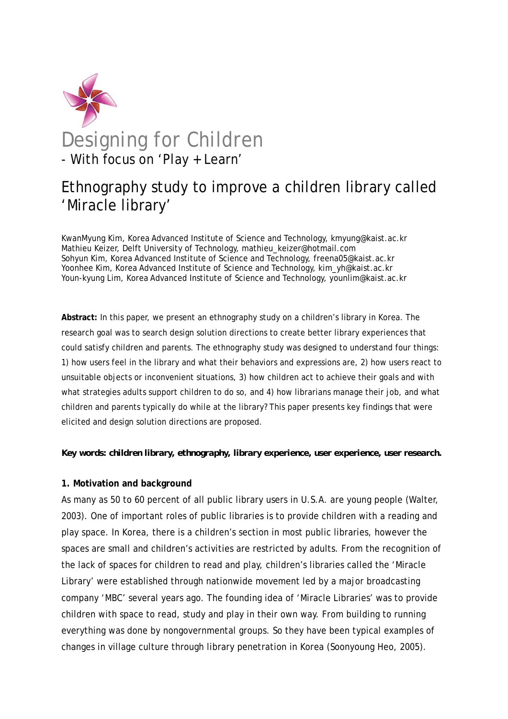

# Ethnography study to improve a children library called 'Miracle library'

KwanMyung Kim, Korea Advanced Institute of Science and Technology, kmyung@kaist.ac.kr Mathieu Keizer, Delft University of Technology, mathieu\_keizer@hotmail.com Sohyun Kim, Korea Advanced Institute of Science and Technology, freena05@kaist.ac.kr Yoonhee Kim, Korea Advanced Institute of Science and Technology, kim\_yh@kaist.ac.kr Youn-kyung Lim, Korea Advanced Institute of Science and Technology, younlim@kaist.ac.kr

**Abstract:** In this paper, we present an ethnography study on a children's library in Korea. The research goal was to search design solution directions to create better library experiences that could satisfy children and parents. The ethnography study was designed to understand four things: 1) how users feel in the library and what their behaviors and expressions are, 2) how users react to unsuitable objects or inconvenient situations, 3) how children act to achieve their goals and with what strategies adults support children to do so, and 4) how librarians manage their job, and what children and parents typically do while at the library? This paper presents key findings that were elicited and design solution directions are proposed.

#### *Key words: children library, ethnography, library experience, user experience, user research.*

## **1. Motivation and background**

As many as 50 to 60 percent of all public library users in U.S.A. are young people (Walter, 2003). One of important roles of public libraries is to provide children with a reading and play space. In Korea, there is a children's section in most public libraries, however the spaces are small and children's activities are restricted by adults. From the recognition of the lack of spaces for children to read and play, children's libraries called the 'Miracle Library' were established through nationwide movement led by a major broadcasting company 'MBC' several years ago. The founding idea of 'Miracle Libraries' was to provide children with space to read, study and play in their own way. From building to running everything was done by nongovernmental groups. So they have been typical examples of changes in village culture through library penetration in Korea (Soonyoung Heo, 2005).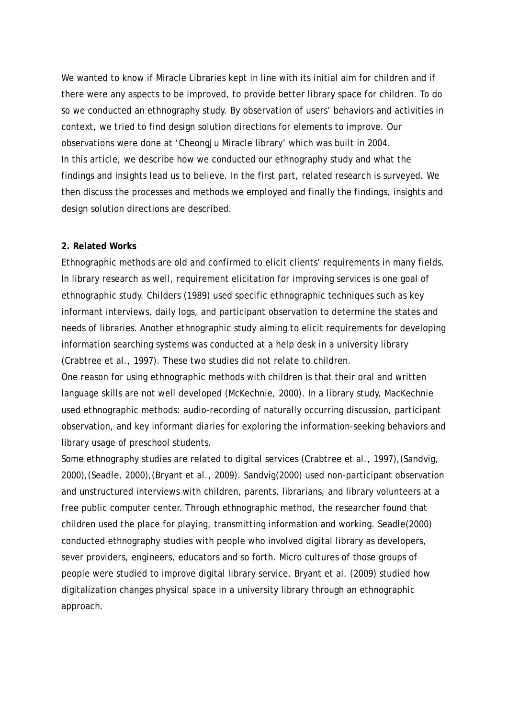We wanted to know if Miracle Libraries kept in line with its initial aim for children and if there were any aspects to be improved, to provide better library space for children. To do so we conducted an ethnography study. By observation of users' behaviors and activities in context, we tried to find design solution directions for elements to improve. Our observations were done at 'CheongJu Miracle library' which was built in 2004. In this article, we describe how we conducted our ethnography study and what the findings and insights lead us to believe. In the first part, related research is surveyed. We then discuss the processes and methods we employed and finally the findings, insights and design solution directions are described.

## **2. Related Works**

Ethnographic methods are old and confirmed to elicit clients' requirements in many fields. In library research as well, requirement elicitation for improving services is one goal of ethnographic study. Childers (1989) used specific ethnographic techniques such as key informant interviews, daily logs, and participant observation to determine the states and needs of libraries. Another ethnographic study aiming to elicit requirements for developing information searching systems was conducted at a help desk in a university library (Crabtree et al., 1997). These two studies did not relate to children.

One reason for using ethnographic methods with children is that their oral and written language skills are not well developed (McKechnie, 2000). In a library study, MacKechnie used ethnographic methods: audio-recording of naturally occurring discussion, participant observation, and key informant diaries for exploring the information-seeking behaviors and library usage of preschool students.

Some ethnography studies are related to digital services (Crabtree et al., 1997),(Sandvig, 2000),(Seadle, 2000),(Bryant et al., 2009). Sandvig(2000) used non-participant observation and unstructured interviews with children, parents, librarians, and library volunteers at a free public computer center. Through ethnographic method, the researcher found that children used the place for playing, transmitting information and working. Seadle(2000) conducted ethnography studies with people who involved digital library as developers, sever providers, engineers, educators and so forth. Micro cultures of those groups of people were studied to improve digital library service. Bryant et al. (2009) studied how digitalization changes physical space in a university library through an ethnographic approach.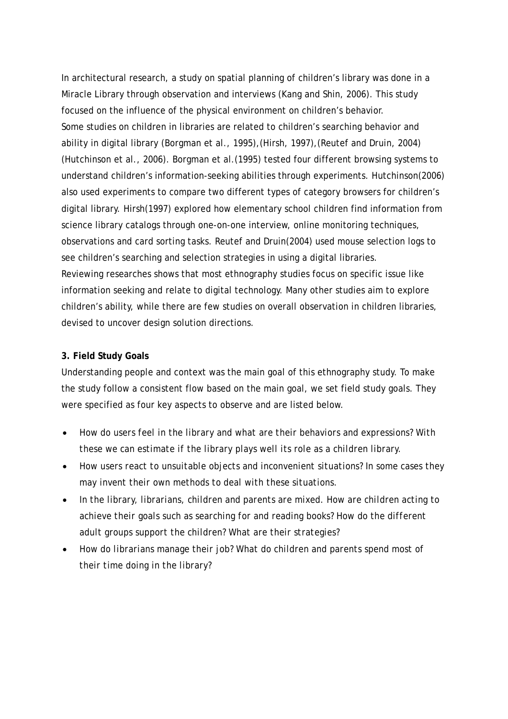In architectural research, a study on spatial planning of children's library was done in a Miracle Library through observation and interviews (Kang and Shin, 2006). This study focused on the influence of the physical environment on children's behavior. Some studies on children in libraries are related to children's searching behavior and ability in digital library (Borgman et al., 1995),(Hirsh, 1997),(Reutef and Druin, 2004) (Hutchinson et al., 2006). Borgman et al.(1995) tested four different browsing systems to understand children's information-seeking abilities through experiments. Hutchinson(2006) also used experiments to compare two different types of category browsers for children's digital library. Hirsh(1997) explored how elementary school children find information from science library catalogs through one-on-one interview, online monitoring techniques, observations and card sorting tasks. Reutef and Druin(2004) used mouse selection logs to see children's searching and selection strategies in using a digital libraries. Reviewing researches shows that most ethnography studies focus on specific issue like information seeking and relate to digital technology. Many other studies aim to explore children's ability, while there are few studies on overall observation in children libraries, devised to uncover design solution directions.

## **3. Field Study Goals**

Understanding people and context was the main goal of this ethnography study. To make the study follow a consistent flow based on the main goal, we set field study goals. They were specified as four key aspects to observe and are listed below.

- *How do users feel in the library and what are their behaviors and expressions? With these we can estimate if the library plays well its role as a children library.*
- *How users react to unsuitable objects and inconvenient situations? In some cases they may invent their own methods to deal with these situations.*
- *In the library, librarians, children and parents are mixed. How are children acting to achieve their goals such as searching for and reading books? How do the different adult groups support the children? What are their strategies?*
- *How do librarians manage their job? What do children and parents spend most of their time doing in the library?*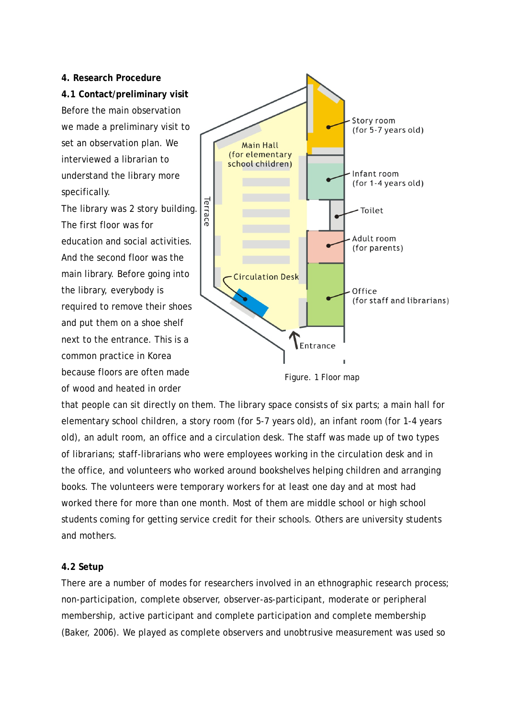**4. Research Procedure 4.1 Contact/preliminary visit**  Before the main observation we made a preliminary visit to set an observation plan. We interviewed a librarian to understand the library more specifically.

The library was 2 story building. The first floor was for education and social activities. And the second floor was the main library. Before going into the library, everybody is required to remove their shoes and put them on a shoe shelf next to the entrance. This is a common practice in Korea because floors are often made of wood and heated in order



Figure. 1 Floor map

that people can sit directly on them. The library space consists of six parts; a main hall for elementary school children, a story room (for 5-7 years old), an infant room (for 1-4 years old), an adult room, an office and a circulation desk. The staff was made up of two types of librarians; staff-librarians who were employees working in the circulation desk and in the office, and volunteers who worked around bookshelves helping children and arranging books. The volunteers were temporary workers for at least one day and at most had worked there for more than one month. Most of them are middle school or high school students coming for getting service credit for their schools. Others are university students and mothers.

### **4.2 Setup**

There are a number of modes for researchers involved in an ethnographic research process; non-participation, complete observer, observer-as-participant, moderate or peripheral membership, active participant and complete participation and complete membership (Baker, 2006). We played as complete observers and unobtrusive measurement was used so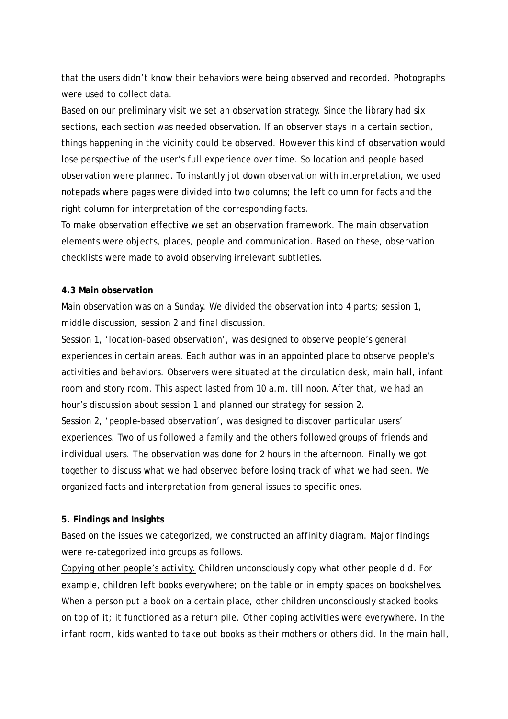that the users didn't know their behaviors were being observed and recorded. Photographs were used to collect data.

Based on our preliminary visit we set an observation strategy. Since the library had six sections, each section was needed observation. If an observer stays in a certain section, things happening in the vicinity could be observed. However this kind of observation would lose perspective of the user's full experience over time. So location and people based observation were planned. To instantly jot down observation with interpretation, we used notepads where pages were divided into two columns; the left column for facts and the right column for interpretation of the corresponding facts.

To make observation effective we set an observation framework. The main observation elements were objects, places, people and communication. Based on these, observation checklists were made to avoid observing irrelevant subtleties.

### **4.3 Main observation**

Main observation was on a Sunday. We divided the observation into 4 parts; session 1, middle discussion, session 2 and final discussion.

Session 1, 'location-based observation', was designed to observe people's general experiences in certain areas. Each author was in an appointed place to observe people's activities and behaviors. Observers were situated at the circulation desk, main hall, infant room and story room. This aspect lasted from 10 a.m. till noon. After that, we had an hour's discussion about session 1 and planned our strategy for session 2. Session 2, 'people-based observation', was designed to discover particular users' experiences. Two of us followed a family and the others followed groups of friends and individual users. The observation was done for 2 hours in the afternoon. Finally we got together to discuss what we had observed before losing track of what we had seen. We organized facts and interpretation from general issues to specific ones.

#### **5. Findings and Insights**

Based on the issues we categorized, we constructed an affinity diagram. Major findings were re-categorized into groups as follows.

*Copying other people's activity.* Children unconsciously copy what other people did. For example, children left books everywhere; on the table or in empty spaces on bookshelves. When a person put a book on a certain place, other children unconsciously stacked books on top of it; it functioned as a return pile. Other coping activities were everywhere. In the infant room, kids wanted to take out books as their mothers or others did. In the main hall,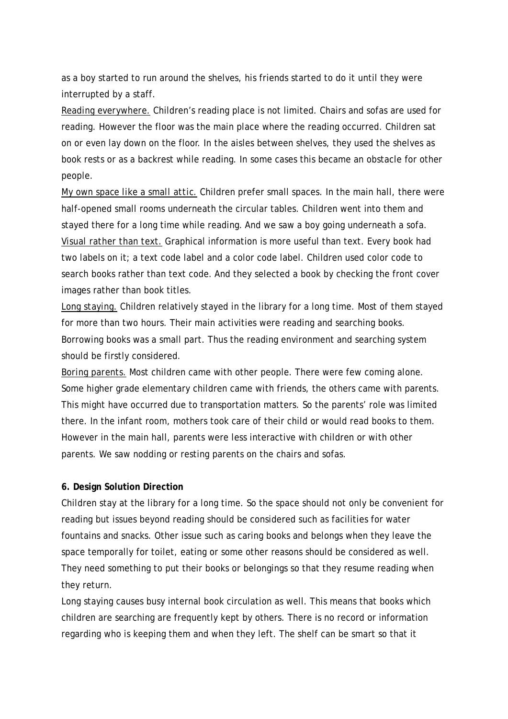as a boy started to run around the shelves, his friends started to do it until they were interrupted by a staff.

*Reading everywhere.* Children's reading place is not limited. Chairs and sofas are used for reading. However the floor was the main place where the reading occurred. Children sat on or even lay down on the floor. In the aisles between shelves, they used the shelves as book rests or as a backrest while reading. In some cases this became an obstacle for other people.

*My own space like a small attic.* Children prefer small spaces. In the main hall, there were half-opened small rooms underneath the circular tables. Children went into them and stayed there for a long time while reading. And we saw a boy going underneath a sofa. *Visual rather than text.* Graphical information is more useful than text. Every book had two labels on it; a text code label and a color code label. Children used color code to search books rather than text code. And they selected a book by checking the front cover images rather than book titles.

*Long staying.* Children relatively stayed in the library for a long time. Most of them stayed for more than two hours. Their main activities were reading and searching books. Borrowing books was a small part. Thus the reading environment and searching system should be firstly considered.

*Boring parents.* Most children came with other people. There were few coming alone. Some higher grade elementary children came with friends, the others came with parents. This might have occurred due to transportation matters. So the parents' role was limited there. In the infant room, mothers took care of their child or would read books to them. However in the main hall, parents were less interactive with children or with other parents. We saw nodding or resting parents on the chairs and sofas.

## **6. Design Solution Direction**

Children stay at the library for a long time. So the space should not only be convenient for reading but issues beyond reading should be considered such as facilities for water fountains and snacks. Other issue such as caring books and belongs when they leave the space temporally for toilet, eating or some other reasons should be considered as well. They need something to put their books or belongings so that they resume reading when they return.

Long staying causes busy internal book circulation as well. This means that books which children are searching are frequently kept by others. There is no record or information regarding who is keeping them and when they left. The shelf can be smart so that it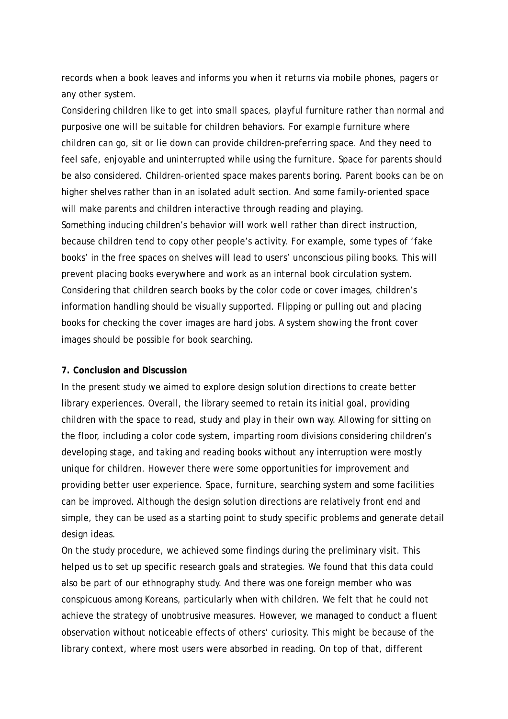records when a book leaves and informs you when it returns via mobile phones, pagers or any other system.

Considering children like to get into small spaces, playful furniture rather than normal and purposive one will be suitable for children behaviors. For example furniture where children can go, sit or lie down can provide children-preferring space. And they need to feel safe, enjoyable and uninterrupted while using the furniture. Space for parents should be also considered. Children-oriented space makes parents boring. Parent books can be on higher shelves rather than in an isolated adult section. And some family-oriented space will make parents and children interactive through reading and playing. Something inducing children's behavior will work well rather than direct instruction, because children tend to copy other people's activity. For example, some types of 'fake books' in the free spaces on shelves will lead to users' unconscious piling books. This will prevent placing books everywhere and work as an internal book circulation system. Considering that children search books by the color code or cover images, children's information handling should be visually supported. Flipping or pulling out and placing books for checking the cover images are hard jobs. A system showing the front cover images should be possible for book searching.

## **7. Conclusion and Discussion**

In the present study we aimed to explore design solution directions to create better library experiences. Overall, the library seemed to retain its initial goal, providing children with the space to read, study and play in their own way. Allowing for sitting on the floor, including a color code system, imparting room divisions considering children's developing stage, and taking and reading books without any interruption were mostly unique for children. However there were some opportunities for improvement and providing better user experience. Space, furniture, searching system and some facilities can be improved. Although the design solution directions are relatively front end and simple, they can be used as a starting point to study specific problems and generate detail design ideas.

On the study procedure, we achieved some findings during the preliminary visit. This helped us to set up specific research goals and strategies. We found that this data could also be part of our ethnography study. And there was one foreign member who was conspicuous among Koreans, particularly when with children. We felt that he could not achieve the strategy of unobtrusive measures. However, we managed to conduct a fluent observation without noticeable effects of others' curiosity. This might be because of the library context, where most users were absorbed in reading. On top of that, different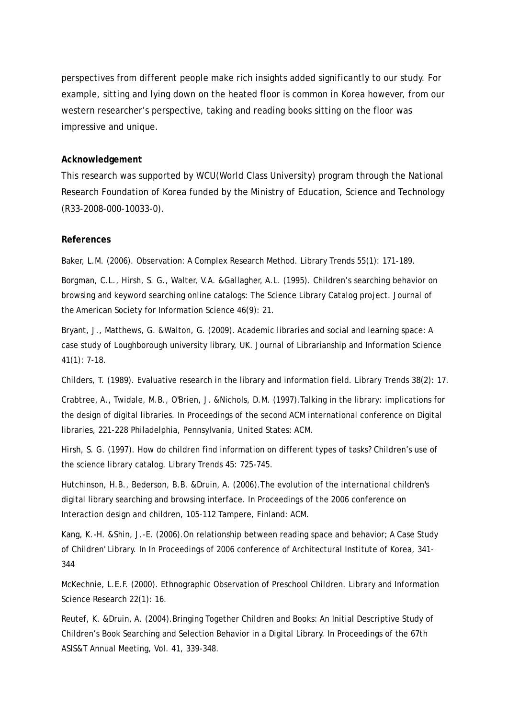perspectives from different people make rich insights added significantly to our study. For example, sitting and lying down on the heated floor is common in Korea however, from our western researcher's perspective, taking and reading books sitting on the floor was impressive and unique.

## **Acknowledgement**

This research was supported by WCU(World Class University) program through the National Research Foundation of Korea funded by the Ministry of Education, Science and Technology (R33-2008-000-10033-0).

### **References**

Baker, L.M. (2006). Observation: A Complex Research Method. Library Trends 55(1): 171-189.

Borgman, C.L., Hirsh, S. G., Walter, V.A. &Gallagher, A.L. (1995). Children's searching behavior on browsing and keyword searching online catalogs: The Science Library Catalog project. Journal of the American Society for Information Science 46(9): 21.

Bryant, J., Matthews, G. &Walton, G. (2009). Academic libraries and social and learning space: A case study of Loughborough university library, UK. Journal of Librarianship and Information Science 41(1): 7-18.

Childers, T. (1989). Evaluative research in the library and information field. Library Trends 38(2): 17.

Crabtree, A., Twidale, M.B., O'Brien, J. &Nichols, D.M. (1997).Talking in the library: implications for the design of digital libraries. In Proceedings of the second ACM international conference on Digital libraries, 221-228 Philadelphia, Pennsylvania, United States: ACM.

Hirsh, S. G. (1997). How do children find information on different types of tasks? Children's use of the science library catalog. Library Trends 45: 725-745.

Hutchinson, H.B., Bederson, B.B. &Druin, A. (2006).The evolution of the international children's digital library searching and browsing interface. In Proceedings of the 2006 conference on Interaction design and children, 105-112 Tampere, Finland: ACM.

Kang, K.-H. &Shin, J.-E. (2006).On relationship between reading space and behavior; A Case Study of Children' Library. In In Proceedings of 2006 conference of Architectural Institute of Korea, 341- 344

McKechnie, L.E.F. (2000). Ethnographic Observation of Preschool Children. Library and Information Science Research 22(1): 16.

Reutef, K. &Druin, A. (2004).Bringing Together Children and Books: An Initial Descriptive Study of Children's Book Searching and Selection Behavior in a Digital Library. In Proceedings of the 67th ASIS&T Annual Meeting, Vol. 41, 339-348.